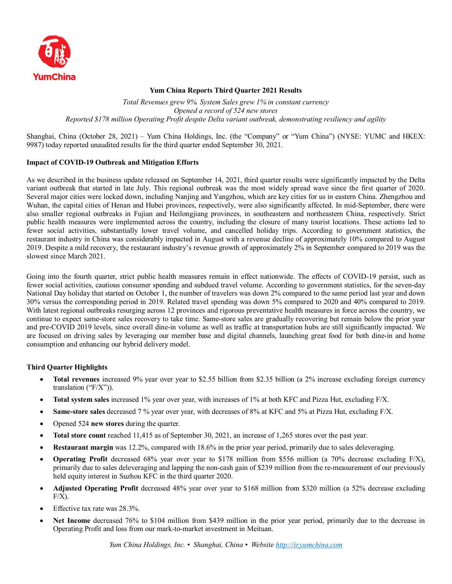

## **Yum China Reports Third Quarter 2021 Results**

*Total Revenues grew 9%. System Sales grew 1% in constant currency Opened a record of 524 new stores Reported \$178 million Operating Profit despite Delta variant outbreak, demonstrating resiliency and agility*

Shanghai, China (October 28, 2021) – Yum China Holdings, Inc. (the "Company" or "Yum China") (NYSE: YUMC and HKEX: 9987) today reported unaudited results for the third quarter ended September 30, 2021.

## **Impact of COVID-19 Outbreak and Mitigation Efforts**

As we described in the business update released on September 14, 2021, third quarter results were significantly impacted by the Delta variant outbreak that started in late July. This regional outbreak was the most widely spread wave since the first quarter of 2020. Several major cities were locked down, including Nanjing and Yangzhou, which are key cities for us in eastern China. Zhengzhou and Wuhan, the capital cities of Henan and Hubei provinces, respectively, were also significantly affected. In mid-September, there were also smaller regional outbreaks in Fujian and Heilongjiang provinces, in southeastern and northeastern China, respectively. Strict public health measures were implemented across the country, including the closure of many tourist locations. These actions led to fewer social activities, substantially lower travel volume, and cancelled holiday trips. According to government statistics, the restaurant industry in China was considerably impacted in August with a revenue decline of approximately 10% compared to August 2019. Despite a mild recovery, the restaurant industry's revenue growth of approximately 2% in September compared to 2019 was the slowest since March 2021.

Going into the fourth quarter, strict public health measures remain in effect nationwide. The effects of COVID-19 persist, such as fewer social activities, cautious consumer spending and subdued travel volume. According to government statistics, for the seven-day National Day holiday that started on October 1, the number of travelers was down 2% compared to the same period last year and down 30% versus the corresponding period in 2019. Related travel spending was down 5% compared to 2020 and 40% compared to 2019. With latest regional outbreaks resurging across 12 provinces and rigorous preventative health measures in force across the country, we continue to expect same-store sales recovery to take time. Same-store sales are gradually recovering but remain below the prior year and pre-COVID 2019 levels, since overall dine-in volume as well as traffic at transportation hubs are still significantly impacted. We are focused on driving sales by leveraging our member base and digital channels, launching great food for both dine-in and home consumption and enhancing our hybrid delivery model.

## **Third Quarter Highlights**

- **Total revenues** increased 9% year over year to \$2.55 billion from \$2.35 billion (a 2% increase excluding foreign currency translation ("F/X")).
- **Total system sales** increased 1% year over year, with increases of 1% at both KFC and Pizza Hut, excluding F/X.
- **Same-store sales** decreased 7 % year over year, with decreases of 8% at KFC and 5% at Pizza Hut, excluding F/X.
- Opened 524 **new stores** during the quarter.
- **Total store count** reached 11,415 as of September 30, 2021, an increase of 1,265 stores over the past year.
- **Restaurant margin** was 12.2%, compared with 18.6% in the prior year period, primarily due to sales deleveraging.
- **Operating Profit** decreased 68% year over year to \$178 million from \$556 million (a 70% decrease excluding F/X), primarily due to sales deleveraging and lapping the non-cash gain of \$239 million from the re-measurement of our previously held equity interest in Suzhou KFC in the third quarter 2020.
- **Adjusted Operating Profit** decreased 48% year over year to \$168 million from \$320 million (a 52% decrease excluding  $F/X$ ).
- Effective tax rate was 28.3%.
- **Net Income** decreased 76% to \$104 million from \$439 million in the prior year period, primarily due to the decrease in Operating Profit and loss from our mark-to-market investment in Meituan.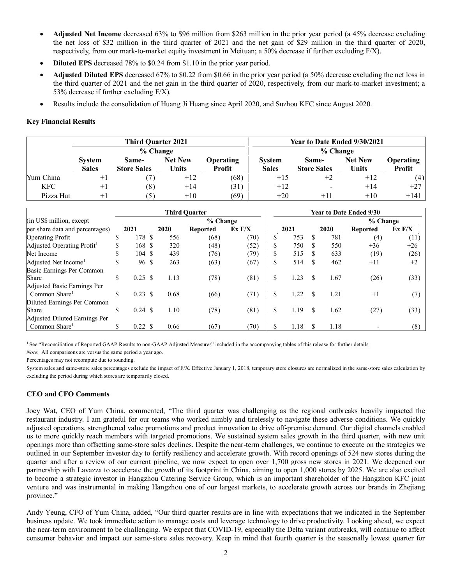- **Adjusted Net Income** decreased 63% to \$96 million from \$263 million in the prior year period (a 45% decrease excluding the net loss of \$32 million in the third quarter of 2021 and the net gain of \$29 million in the third quarter of 2020, respectively, from our mark-to-market equity investment in Meituan; a 50% decrease if further excluding F/X).
- **Diluted EPS** decreased 78% to \$0.24 from \$1.10 in the prior year period.
- **Adjusted Diluted EPS** decreased 67% to \$0.22 from \$0.66 in the prior year period (a 50% decrease excluding the net loss in the third quarter of 2021 and the net gain in the third quarter of 2020, respectively, from our mark-to-market investment; a 53% decrease if further excluding F/X).
- Results include the consolidation of Huang Ji Huang since April 2020, and Suzhou KFC since August 2020.

## **Key Financial Results**

|            |               | <b>Third Quarter 2021</b> |                |                  | Year to Date Ended 9/30/2021 |                    |                |                  |  |  |  |
|------------|---------------|---------------------------|----------------|------------------|------------------------------|--------------------|----------------|------------------|--|--|--|
|            |               | $%$ Change                |                |                  | % Change                     |                    |                |                  |  |  |  |
|            | <b>System</b> | Same-                     | <b>Net New</b> | <b>Operating</b> | <b>System</b>                | Same-              | <b>Net New</b> | <b>Operating</b> |  |  |  |
|            | <b>Sales</b>  | <b>Store Sales</b>        | Units          | Profit           | <b>Sales</b>                 | <b>Store Sales</b> | <b>Units</b>   | <b>Profit</b>    |  |  |  |
| Yum China  | $+1$          |                           | $+12$          | (68)             | $+15$                        | $+2$               | $+12$          | (4)              |  |  |  |
| <b>KFC</b> | $+1$          | (8)                       | $+14$          | (31)             | $+12$                        | -                  | $+14$          | $+27$            |  |  |  |
| Pizza Hut  | $+$           | (5)                       | $+10$          | (69)             | $+20$                        | $+11$              | $+10$          | $+141$           |  |  |  |

|                                        |              |                    |                 |        | <b>Third Quarter</b> |      | <b>Year to Date Ended 9/30</b> |      |          |        |          |       |  |
|----------------------------------------|--------------|--------------------|-----------------|--------|----------------------|------|--------------------------------|------|----------|--------|----------|-------|--|
| (in US\$ million, except)              |              |                    |                 |        | % Change             |      |                                |      |          |        | % Change |       |  |
| per share data and percentages)        | 2020<br>2021 |                    | <b>Reported</b> | Ex F/X | 2021                 |      | 2020                           |      | Reported | Ex F/X |          |       |  |
| <b>Operating Profit</b>                | \$           | 178                | -S              | 556    | (68)                 | (70) | D                              | 753  |          | 781    | (4)      | (11)  |  |
| Adjusted Operating Profit <sup>1</sup> | \$.          | 168 S              |                 | 320    | (48)                 | (52) | D                              | 750  | \$.      | 550    | $+36$    | $+26$ |  |
| Net Income                             | \$           | 104 \$             |                 | 439    | (76)                 | (79) |                                | 515  |          | 633    | (19)     | (26)  |  |
| Adjusted Net Income <sup>1</sup>       | \$           | 96 \$              |                 | 263    | (63)                 | (67) | \$                             | 514  | \$       | 462    | $+11$    | $+2$  |  |
| Basic Earnings Per Common              |              |                    |                 |        |                      |      |                                |      |          |        |          |       |  |
| Share                                  | \$           | $0.25 \text{ }$ \$ |                 | 1.13   | (78)                 | (81) | \$                             | 1.23 | \$.      | 1.67   | (26)     | (33)  |  |
| Adjusted Basic Earnings Per            |              |                    |                 |        |                      |      |                                |      |          |        |          |       |  |
| Common Share <sup>1</sup>              | \$           | $0.23 \text{ } $s$ |                 | 0.68   | (66)                 | (71) | \$                             | 1.22 | \$       | 1.21   | $+1$     | (7)   |  |
| Diluted Earnings Per Common            |              |                    |                 |        |                      |      |                                |      |          |        |          |       |  |
| Share                                  | \$           | $0.24 \text{ } $s$ |                 | 1.10   | (78)                 | (81) | S                              | 1.19 | \$       | 1.62   | (27)     | (33)  |  |
| Adjusted Diluted Earnings Per          |              |                    |                 |        |                      |      |                                |      |          |        |          |       |  |
| Common Share <sup>1</sup>              | \$           | $0.22 \text{ }$ \$ |                 | 0.66   | (67)                 | (70) |                                | 1.18 | \$       | 1.18   |          | (8)   |  |

<sup>1</sup> See "Reconciliation of Reported GAAP Results to non-GAAP Adjusted Measures" included in the accompanying tables of this release for further details.

*Note*: All comparisons are versus the same period a year ago.

Percentages may not recompute due to rounding.

System sales and same-store sales percentages exclude the impact of F/X. Effective January 1, 2018, temporary store closures are normalized in the same-store sales calculation by excluding the period during which stores are temporarily closed.

## **CEO and CFO Comments**

Joey Wat, CEO of Yum China, commented, "The third quarter was challenging as the regional outbreaks heavily impacted the restaurant industry. I am grateful for our teams who worked nimbly and tirelessly to navigate these adverse conditions. We quickly adjusted operations, strengthened value promotions and product innovation to drive off-premise demand. Our digital channels enabled us to more quickly reach members with targeted promotions. We sustained system sales growth in the third quarter, with new unit openings more than offsetting same-store sales declines. Despite the near-term challenges, we continue to execute on the strategies we outlined in our September investor day to fortify resiliency and accelerate growth. With record openings of 524 new stores during the quarter and after a review of our current pipeline, we now expect to open over 1,700 gross new stores in 2021. We deepened our partnership with Lavazza to accelerate the growth of its footprint in China, aiming to open 1,000 stores by 2025. We are also excited to become a strategic investor in Hangzhou Catering Service Group, which is an important shareholder of the Hangzhou KFC joint venture and was instrumental in making Hangzhou one of our largest markets, to accelerate growth across our brands in Zhejiang province."

Andy Yeung, CFO of Yum China, added, "Our third quarter results are in line with expectations that we indicated in the September business update. We took immediate action to manage costs and leverage technology to drive productivity. Looking ahead, we expect the near-term environment to be challenging. We expect that COVID-19, especially the Delta variant outbreaks, will continue to affect consumer behavior and impact our same-store sales recovery. Keep in mind that fourth quarter is the seasonally lowest quarter for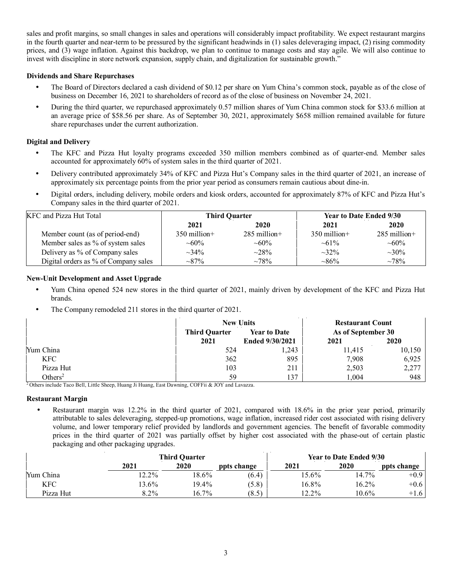sales and profit margins, so small changes in sales and operations will considerably impact profitability. We expect restaurant margins in the fourth quarter and near-term to be pressured by the significant headwinds in (1) sales deleveraging impact, (2) rising commodity prices, and (3) wage inflation. Against this backdrop, we plan to continue to manage costs and stay agile. We will also continue to invest with discipline in store network expansion, supply chain, and digitalization for sustainable growth."

## **Dividends and Share Repurchases**

- The Board of Directors declared a cash dividend of \$0.12 per share on Yum China's common stock, payable as of the close of business on December 16, 2021 to shareholders of record as of the close of business on November 24, 2021.
- During the third quarter, we repurchased approximately 0.57 million shares of Yum China common stock for \$33.6 million at an average price of \$58.56 per share. As of September 30, 2021, approximately \$658 million remained available for future share repurchases under the current authorization.

## **Digital and Delivery**

- The KFC and Pizza Hut loyalty programs exceeded 350 million members combined as of quarter-end. Member sales accounted for approximately 60% of system sales in the third quarter of 2021.
- Delivery contributed approximately 34% of KFC and Pizza Hut's Company sales in the third quarter of 2021, an increase of approximately six percentage points from the prior year period as consumers remain cautious about dine-in.
- Digital orders, including delivery, mobile orders and kiosk orders, accounted for approximately 87% of KFC and Pizza Hut's Company sales in the third quarter of 2021.

| KFC and Pizza Hut Total              |                | <b>Third Quarter</b> | <b>Year to Date Ended 9/30</b> |                |  |  |
|--------------------------------------|----------------|----------------------|--------------------------------|----------------|--|--|
|                                      | 2021           | 2020                 | 2021                           | 2020           |  |  |
| Member count (as of period-end)      | $350$ million+ | $285$ million+       | $350$ million +                | $285$ million+ |  |  |
| Member sales as % of system sales    | $\sim 60\%$    | $~10\%$              | $~1\%$                         | $~10\%$        |  |  |
| Delivery as % of Company sales       | $\sim 34\%$    | $\sim 28\%$          | $\sim 32\%$                    | $\sim 30\%$    |  |  |
| Digital orders as % of Company sales | $\sim 87\%$    | $~1.78\%$            | $~86\%$                        | $~1.78\%$      |  |  |

## **New-Unit Development and Asset Upgrade**

- Yum China opened 524 new stores in the third quarter of 2021, mainly driven by development of the KFC and Pizza Hut brands.
- The Company remodeled 211 stores in the third quarter of 2021.

|                     |                      | <b>New Units</b>    | <b>Restaurant Count</b><br>As of September 30 |        |  |  |
|---------------------|----------------------|---------------------|-----------------------------------------------|--------|--|--|
|                     | <b>Third Quarter</b> | <b>Year to Date</b> |                                               |        |  |  |
|                     | 2021                 | Ended 9/30/2021     | 2021                                          | 2020   |  |  |
| Yum China           | 524                  | 1.243               | 11,415                                        | 10,150 |  |  |
| <b>KFC</b>          | 362                  | 895                 | 7,908                                         | 6,925  |  |  |
| Pizza Hut           | 103                  | 211                 | 2,503                                         | 2,277  |  |  |
| Others <sup>2</sup> | 59                   | 137                 | 1,004                                         | 948    |  |  |

<sup>2</sup> Others include Taco Bell, Little Sheep, Huang Ji Huang, East Dawning, COFFii & JOY and Lavazza.

## **Restaurant Margin**

 Restaurant margin was 12.2% in the third quarter of 2021, compared with 18.6% in the prior year period, primarily attributable to sales deleveraging, stepped-up promotions, wage inflation, increased rider cost associated with rising delivery volume, and lower temporary relief provided by landlords and government agencies. The benefit of favorable commodity prices in the third quarter of 2021 was partially offset by higher cost associated with the phase-out of certain plastic packaging and other packaging upgrades.

|           |         | <b>Third Quarter</b> |             | <b>Year to Date Ended 9/30</b> |          |             |  |  |
|-----------|---------|----------------------|-------------|--------------------------------|----------|-------------|--|--|
|           | 2021    | 2020                 | ppts change | 2021                           | 2020     | ppts change |  |  |
| Yum China | $2.2\%$ | 18.6%                | (6.4)       | $15.6\%$                       | 14.7%    | $+0.9$      |  |  |
| KFC       | 3.6%    | 19.4%                | (5.8)       | 16.8%                          | 16.2%    | $+0.6$      |  |  |
| Pizza Hut | 8.2%    | 16.7%                | (8.5)       | $12.2\%$                       | $10.6\%$ | $+1.6$      |  |  |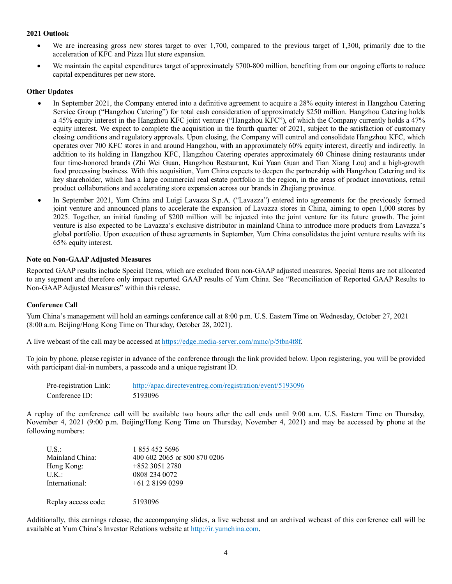#### **2021 Outlook**

- We are increasing gross new stores target to over 1,700, compared to the previous target of 1,300, primarily due to the acceleration of KFC and Pizza Hut store expansion.
- We maintain the capital expenditures target of approximately \$700-800 million, benefiting from our ongoing efforts to reduce capital expenditures per new store.

### **Other Updates**

- In September 2021, the Company entered into a definitive agreement to acquire a 28% equity interest in Hangzhou Catering Service Group ("Hangzhou Catering") for total cash consideration of approximately \$250 million. Hangzhou Catering holds a 45% equity interest in the Hangzhou KFC joint venture ("Hangzhou KFC"), of which the Company currently holds a 47% equity interest. We expect to complete the acquisition in the fourth quarter of 2021, subject to the satisfaction of customary closing conditions and regulatory approvals. Upon closing, the Company will control and consolidate Hangzhou KFC, which operates over 700 KFC stores in and around Hangzhou, with an approximately 60% equity interest, directly and indirectly. In addition to its holding in Hangzhou KFC, Hangzhou Catering operates approximately 60 Chinese dining restaurants under four time-honored brands (Zhi Wei Guan, Hangzhou Restaurant, Kui Yuan Guan and Tian Xiang Lou) and a high-growth food processing business. With this acquisition, Yum China expects to deepen the partnership with Hangzhou Catering and its key shareholder, which has a large commercial real estate portfolio in the region, in the areas of product innovations, retail product collaborations and accelerating store expansion across our brands in Zhejiang province.
- In September 2021, Yum China and Luigi Lavazza S.p.A. ("Lavazza") entered into agreements for the previously formed joint venture and announced plans to accelerate the expansion of Lavazza stores in China, aiming to open 1,000 stores by 2025. Together, an initial funding of \$200 million will be injected into the joint venture for its future growth. The joint venture is also expected to be Lavazza's exclusive distributor in mainland China to introduce more products from Lavazza's global portfolio. Upon execution of these agreements in September, Yum China consolidates the joint venture results with its 65% equity interest.

### **Note on Non-GAAP Adjusted Measures**

Reported GAAP results include Special Items, which are excluded from non-GAAP adjusted measures. Special Items are not allocated to any segment and therefore only impact reported GAAP results of Yum China. See "Reconciliation of Reported GAAP Results to Non-GAAP Adjusted Measures" within this release.

#### **Conference Call**

Yum China's management will hold an earnings conference call at 8:00 p.m. U.S. Eastern Time on Wednesday, October 27, 2021 (8:00 a.m. Beijing/Hong Kong Time on Thursday, October 28, 2021).

A live webcast of the call may be accessed at [https://edge.media-server.com/mmc/p/5tbn4t8f.](https://edge.media-server.com/mmc/p/5tbn4t8f)

To join by phone, please register in advance of the conference through the link provided below. Upon registering, you will be provided with participant dial-in numbers, a passcode and a unique registrant ID.

| Pre-registration Link: | http://apac.directeventreg.com/registration/event/5193096 |
|------------------------|-----------------------------------------------------------|
| Conference ID:         | 5193096                                                   |

A replay of the conference call will be available two hours after the call ends until 9:00 a.m. U.S. Eastern Time on Thursday, November 4, 2021 (9:00 p.m. Beijing/Hong Kong Time on Thursday, November 4, 2021) and may be accessed by phone at the following numbers:

| $U.S.$ :            | 1 855 452 5696               |
|---------------------|------------------------------|
| Mainland China:     | 400 602 2065 or 800 870 0206 |
| Hong Kong:          | $+85230512780$               |
| U.K.:               | 0808 234 0072                |
| International:      | $+61281990299$               |
| Replay access code: | 5193096                      |

Additionally, this earnings release, the accompanying slides, a live webcast and an archived webcast of this conference call will be available at Yum China's Investor Relations website a[t http://ir.yumchina.com.](http://ir.yumchina.com/)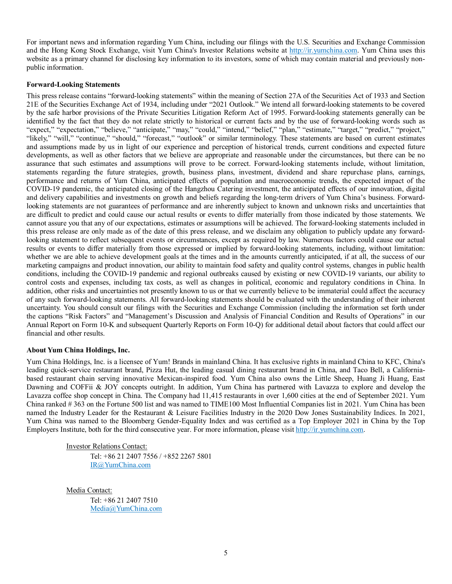For important news and information regarding Yum China, including our filings with the U.S. Securities and Exchange Commission and the Hong Kong Stock Exchange, visit Yum China's Investor Relations website at [http://ir.yumchina.com.](http://ir.yumchina.com/) Yum China uses this website as a primary channel for disclosing key information to its investors, some of which may contain material and previously nonpublic information.

#### **Forward-Looking Statements**

This press release contains "forward-looking statements" within the meaning of Section 27A of the Securities Act of 1933 and Section 21E of the Securities Exchange Act of 1934, including under "2021 Outlook." We intend all forward-looking statements to be covered by the safe harbor provisions of the Private Securities Litigation Reform Act of 1995. Forward-looking statements generally can be identified by the fact that they do not relate strictly to historical or current facts and by the use of forward-looking words such as "expect," "expectation," "believe," "anticipate," "may," "could," "intend," "belief," "plan," "estimate," "target," "predict," "project," "likely," "will," "continue," "should," "forecast," "outlook" or similar terminology. These statements are based on current estimates and assumptions made by us in light of our experience and perception of historical trends, current conditions and expected future developments, as well as other factors that we believe are appropriate and reasonable under the circumstances, but there can be no assurance that such estimates and assumptions will prove to be correct. Forward-looking statements include, without limitation, statements regarding the future strategies, growth, business plans, investment, dividend and share repurchase plans, earnings, performance and returns of Yum China, anticipated effects of population and macroeconomic trends, the expected impact of the COVID-19 pandemic, the anticipated closing of the Hangzhou Catering investment, the anticipated effects of our innovation, digital and delivery capabilities and investments on growth and beliefs regarding the long-term drivers of Yum China's business. Forwardlooking statements are not guarantees of performance and are inherently subject to known and unknown risks and uncertainties that are difficult to predict and could cause our actual results or events to differ materially from those indicated by those statements. We cannot assure you that any of our expectations, estimates or assumptions will be achieved. The forward-looking statements included in this press release are only made as of the date of this press release, and we disclaim any obligation to publicly update any forwardlooking statement to reflect subsequent events or circumstances, except as required by law. Numerous factors could cause our actual results or events to differ materially from those expressed or implied by forward-looking statements, including, without limitation: whether we are able to achieve development goals at the times and in the amounts currently anticipated, if at all, the success of our marketing campaigns and product innovation, our ability to maintain food safety and quality control systems, changes in public health conditions, including the COVID-19 pandemic and regional outbreaks caused by existing or new COVID-19 variants, our ability to control costs and expenses, including tax costs, as well as changes in political, economic and regulatory conditions in China. In addition, other risks and uncertainties not presently known to us or that we currently believe to be immaterial could affect the accuracy of any such forward-looking statements. All forward-looking statements should be evaluated with the understanding of their inherent uncertainty. You should consult our filings with the Securities and Exchange Commission (including the information set forth under the captions "Risk Factors" and "Management's Discussion and Analysis of Financial Condition and Results of Operations" in our Annual Report on Form 10-K and subsequent Quarterly Reports on Form 10-Q) for additional detail about factors that could affect our financial and other results.

## **About Yum China Holdings, Inc.**

Yum China Holdings, Inc. is a licensee of Yum! Brands in mainland China. It has exclusive rights in mainland China to KFC, China's leading quick-service restaurant brand, Pizza Hut, the leading casual dining restaurant brand in China, and Taco Bell, a Californiabased restaurant chain serving innovative Mexican-inspired food. Yum China also owns the Little Sheep, Huang Ji Huang, East Dawning and COFFii & JOY concepts outright. In addition, Yum China has partnered with Lavazza to explore and develop the Lavazza coffee shop concept in China. The Company had 11,415 restaurants in over 1,600 cities at the end of September 2021. Yum China ranked # 363 on the Fortune 500 list and was named to TIME100 Most Influential Companies list in 2021. Yum China has been named the Industry Leader for the Restaurant & Leisure Facilities Industry in the 2020 Dow Jones Sustainability Indices. In 2021, Yum China was named to the Bloomberg Gender-Equality Index and was certified as a Top Employer 2021 in China by the Top Employers Institute, both for the third consecutive year. For more information, please visit [http://ir.yumchina.com.](http://ir.yumchina.com/)

Investor Relations Contact:

Tel: +86 21 2407 7556 / +852 2267 5801 [IR@YumChina.com](mailto:IR@YumChina.com) 

Media Contact:

Tel: +86 21 2407 7510 [Media@YumChina.com](mailto:Media@YumChina.com)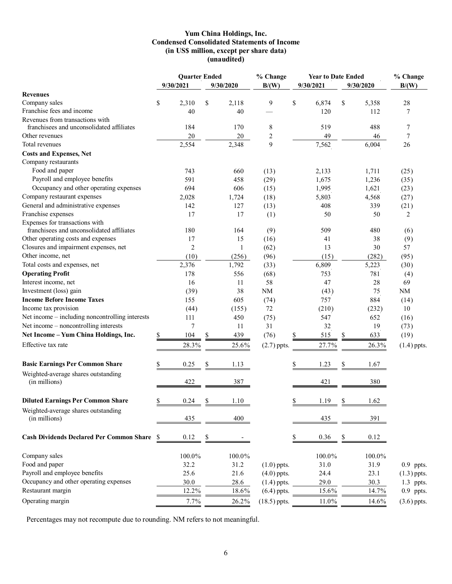## **Yum China Holdings, Inc. Condensed Consolidated Statements of Income (in US\$ million, except per share data) (unaudited)**

|                                                 |    | <b>Quarter Ended</b> |                                             |           | % Change<br><b>Year to Date Ended</b> |                                   |           |    |           | % Change      |  |
|-------------------------------------------------|----|----------------------|---------------------------------------------|-----------|---------------------------------------|-----------------------------------|-----------|----|-----------|---------------|--|
|                                                 |    | 9/30/2021            |                                             | 9/30/2020 | B/(W)                                 |                                   | 9/30/2021 |    | 9/30/2020 | B/(W)         |  |
| <b>Revenues</b>                                 |    |                      |                                             |           |                                       |                                   |           |    |           |               |  |
| Company sales                                   | \$ | 2,310                | \$                                          | 2,118     | 9                                     | $\mathbb{S}% _{t}\left( t\right)$ | 6,874     | \$ | 5,358     | 28            |  |
| Franchise fees and income                       |    | 40                   |                                             | 40        |                                       |                                   | 120       |    | 112       | 7             |  |
| Revenues from transactions with                 |    |                      |                                             |           |                                       |                                   |           |    |           |               |  |
| franchisees and unconsolidated affiliates       |    | 184                  |                                             | 170       | 8                                     |                                   | 519       |    | 488       | 7             |  |
| Other revenues                                  |    | 20                   |                                             | 20        | 2                                     |                                   | 49        |    | 46        | 7             |  |
| Total revenues                                  |    | 2,554                |                                             | 2,348     | 9                                     |                                   | 7,562     |    | 6,004     | 26            |  |
| <b>Costs and Expenses, Net</b>                  |    |                      |                                             |           |                                       |                                   |           |    |           |               |  |
| Company restaurants                             |    |                      |                                             |           |                                       |                                   |           |    |           |               |  |
| Food and paper                                  |    | 743                  |                                             | 660       | (13)                                  |                                   | 2,133     |    | 1,711     | (25)          |  |
| Payroll and employee benefits                   |    | 591                  |                                             | 458       | (29)                                  |                                   | 1,675     |    | 1,236     | (35)          |  |
| Occupancy and other operating expenses          |    | 694                  |                                             | 606       | (15)                                  |                                   | 1,995     |    | 1,621     | (23)          |  |
| Company restaurant expenses                     |    | 2,028                |                                             | 1,724     | (18)                                  |                                   | 5,803     |    | 4,568     | (27)          |  |
| General and administrative expenses             |    | 142                  |                                             | 127       | (13)                                  |                                   | 408       |    | 339       | (21)          |  |
| Franchise expenses                              |    | 17                   |                                             | 17        | (1)                                   |                                   | 50        |    | 50        | 2             |  |
| Expenses for transactions with                  |    |                      |                                             |           |                                       |                                   |           |    |           |               |  |
| franchisees and unconsolidated affiliates       |    | 180                  |                                             | 164       | (9)                                   |                                   | 509       |    | 480       | (6)           |  |
| Other operating costs and expenses              |    | 17                   |                                             | 15        | (16)                                  |                                   | 41        |    | 38        | (9)           |  |
| Closures and impairment expenses, net           |    | 2                    |                                             | 1         | (62)                                  |                                   | 13        |    | 30        | 57            |  |
| Other income, net                               |    | (10)                 |                                             | (256)     | (96)                                  |                                   | (15)      |    | (282)     | (95)          |  |
| Total costs and expenses, net                   |    | 2,376                |                                             | 1,792     | (33)                                  |                                   | 6,809     |    | 5,223     | (30)          |  |
| <b>Operating Profit</b>                         |    | 178                  |                                             | 556       | (68)                                  |                                   | 753       |    | 781       | (4)           |  |
| Interest income, net                            |    | 16                   |                                             | 11        | 58                                    |                                   | 47        |    | 28        | 69            |  |
| Investment (loss) gain                          |    | (39)                 |                                             | 38        | NM                                    |                                   | (43)      |    | 75        | NM            |  |
| <b>Income Before Income Taxes</b>               |    | 155                  |                                             | 605       | (74)                                  |                                   | 757       |    | 884       | (14)          |  |
| Income tax provision                            |    | (44)                 |                                             | (155)     | 72                                    |                                   | (210)     |    | (232)     | 10            |  |
| Net income - including noncontrolling interests |    | 111                  |                                             | 450       | (75)                                  |                                   | 547       |    | 652       | (16)          |  |
| Net income - noncontrolling interests           |    | 7                    |                                             | 11        | 31                                    |                                   | 32        |    | 19        | (73)          |  |
| Net Income - Yum China Holdings, Inc.           | \$ | 104                  | $\mathbb{S}% _{n}^{X\rightarrow\mathbb{R}}$ | 439       | (76)                                  | \$                                | 515       | \$ | 633       | (19)          |  |
| Effective tax rate                              |    | 28.3%                |                                             | 25.6%     | $(2.7)$ ppts.                         |                                   | 27.7%     |    | 26.3%     | $(1.4)$ ppts. |  |
| <b>Basic Earnings Per Common Share</b>          | \$ | 0.25                 | \$                                          | 1.13      |                                       | \$                                | 1.23      | \$ | 1.67      |               |  |
| Weighted-average shares outstanding             |    |                      |                                             |           |                                       |                                   |           |    |           |               |  |
| (in millions)                                   |    | 422                  |                                             | 387       |                                       |                                   | 421       |    | 380       |               |  |
|                                                 |    |                      |                                             |           |                                       |                                   |           |    |           |               |  |
| <b>Diluted Earnings Per Common Share</b>        | \$ | 0.24                 | \$                                          | 1.10      |                                       | \$                                | 1.19      | \$ | 1.62      |               |  |
| Weighted-average shares outstanding             |    |                      |                                             |           |                                       |                                   |           |    |           |               |  |
| (in millions)                                   |    | 435                  |                                             | 400       |                                       |                                   | 435       |    | 391       |               |  |
| <b>Cash Dividends Declared Per Common Share</b> | -S | 0.12                 | \$                                          |           |                                       | \$                                | 0.36      | \$ | 0.12      |               |  |
| Company sales                                   |    | 100.0%               |                                             | 100.0%    |                                       |                                   | 100.0%    |    | 100.0%    |               |  |
| Food and paper                                  |    | 32.2                 |                                             | 31.2      | $(1.0)$ ppts.                         |                                   | 31.0      |    | 31.9      | 0.9 ppts.     |  |
| Payroll and employee benefits                   |    | 25.6                 |                                             | 21.6      | $(4.0)$ ppts.                         |                                   | 24.4      |    | 23.1      | $(1.3)$ ppts. |  |
| Occupancy and other operating expenses          |    | 30.0                 |                                             | 28.6      | $(1.4)$ ppts.                         |                                   | 29.0      |    | 30.3      | 1.3 ppts.     |  |
| Restaurant margin                               |    | 12.2%                |                                             | 18.6%     | $(6.4)$ ppts.                         |                                   | 15.6%     |    | 14.7%     | 0.9 ppts.     |  |
| Operating margin                                |    |                      |                                             |           | $(18.5)$ ppts.                        |                                   |           |    |           |               |  |
|                                                 |    | 7.7%                 |                                             | 26.2%     |                                       |                                   | 11.0%     |    | 14.6%     | $(3.6)$ ppts. |  |

Percentages may not recompute due to rounding. NM refers to not meaningful.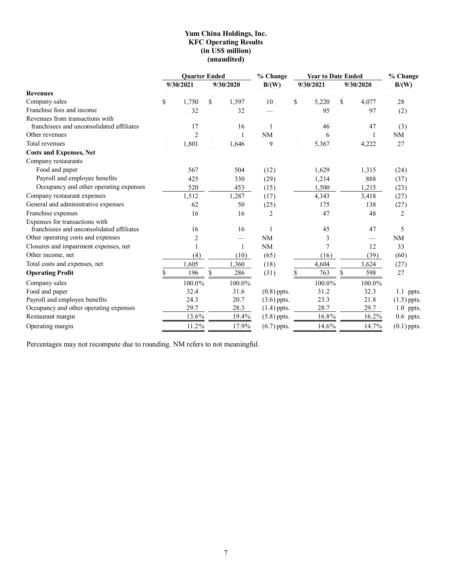## **Yum China Holdings, Inc. KFC Operating Results (in US\$ million) (unaudited)**

|                                           | <b>Quarter Ended</b> |                |     |           | % Change      | <b>Year to Date Ended</b> | % Change    |               |  |
|-------------------------------------------|----------------------|----------------|-----|-----------|---------------|---------------------------|-------------|---------------|--|
|                                           |                      | 9/30/2021      |     | 9/30/2020 | B/(W)         | 9/30/2021                 | 9/30/2020   | B/(W)         |  |
| <b>Revenues</b>                           |                      |                |     |           |               |                           |             |               |  |
| Company sales                             | \$                   | 1,750          | \$. | 1,597     | 10            | \$<br>5,220               | \$<br>4,077 | 28            |  |
| Franchise fees and income                 |                      | 32             |     | 32        |               | 95                        | 97          | (2)           |  |
| Revenues from transactions with           |                      |                |     |           |               |                           |             |               |  |
| franchisees and unconsolidated affiliates |                      | 17             |     | 16        | 1             | 46                        | 47          | (3)           |  |
| Other revenues                            |                      | $\overline{c}$ |     |           | <b>NM</b>     | 6                         |             | NM            |  |
| Total revenues                            |                      | 1,801          |     | 1,646     | 9             | 5,367                     | 4,222       | 27            |  |
| <b>Costs and Expenses, Net</b>            |                      |                |     |           |               |                           |             |               |  |
| Company restaurants                       |                      |                |     |           |               |                           |             |               |  |
| Food and paper                            |                      | 567            |     | 504       | (12)          | 1,629                     | 1,315       | (24)          |  |
| Payroll and employee benefits             |                      | 425            |     | 330       | (29)          | 1,214                     | 888         | (37)          |  |
| Occupancy and other operating expenses    |                      | 520            |     | 453       | (15)          | 1,500                     | 1,215       | (23)          |  |
| Company restaurant expenses               |                      | 1,512          |     | 1,287     | (17)          | 4,343                     | 3,418       | (27)          |  |
| General and administrative expenses       |                      | 62             |     | 50        | (25)          | 175                       | 138         | (27)          |  |
| Franchise expenses                        |                      | 16             |     | 16        | 2             | 47                        | 48          | 2             |  |
| Expenses for transactions with            |                      |                |     |           |               |                           |             |               |  |
| franchisees and unconsolidated affiliates |                      | 16             |     | 16        |               | 45                        | 47          | 5             |  |
| Other operating costs and expenses        |                      | $\overline{2}$ |     |           | <b>NM</b>     | 3                         |             | NM            |  |
| Closures and impairment expenses, net     |                      | 1              |     | 1         | <b>NM</b>     | 7                         | 12          | 33            |  |
| Other income, net                         |                      | (4)            |     | (10)      | (65)          | (16)                      | (39)        | (60)          |  |
| Total costs and expenses, net             |                      | 1,605          |     | 1,360     | (18)          | 4,604                     | 3,624       | (27)          |  |
| <b>Operating Profit</b>                   |                      | 196            | \$  | 286       | (31)          | 763                       | \$<br>598   | 27            |  |
| Company sales                             |                      | 100.0%         |     | 100.0%    |               | 100.0%                    | 100.0%      |               |  |
| Food and paper                            |                      | 32.4           |     | 31.6      | $(0.8)$ ppts. | 31.2                      | 32.3        | 1.1 ppts.     |  |
| Payroll and employee benefits             |                      | 24.3           |     | 20.7      | $(3.6)$ ppts. | 23.3                      | 21.8        | $(1.5)$ ppts. |  |
| Occupancy and other operating expenses    |                      | 29.7           |     | 28.3      | $(1.4)$ ppts. | 28.7                      | 29.7        | 1.0 ppts.     |  |
| Restaurant margin                         |                      | 13.6%          |     | 19.4%     | $(5.8)$ ppts. | 16.8%                     | 16.2%       | $0.6$ ppts.   |  |
| Operating margin                          |                      | 11.2%          |     | 17.9%     | $(6.7)$ ppts. | 14.6%                     | 14.7%       | $(0.1)$ ppts. |  |

Percentages may not recompute due to rounding. NM refers to not meaningful.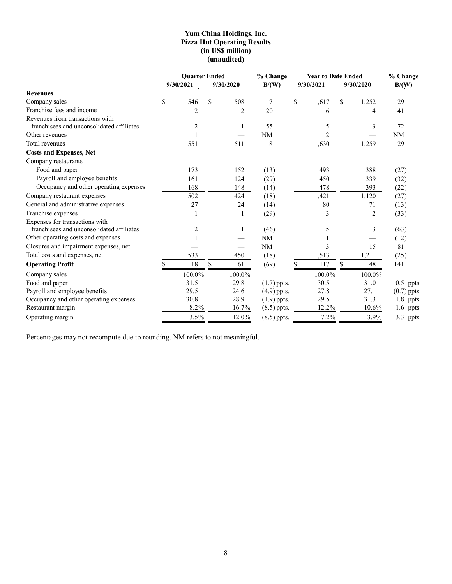## **Yum China Holdings, Inc. Pizza Hut Operating Results (in US\$ million) (unaudited)**

|                                                                              | <b>Ouarter Ended</b> |                |     |                | % Change         | <b>Year to Date Ended</b> |               | % Change       |               |
|------------------------------------------------------------------------------|----------------------|----------------|-----|----------------|------------------|---------------------------|---------------|----------------|---------------|
|                                                                              |                      | 9/30/2021      |     | 9/30/2020      | B/(W)            | 9/30/2021                 |               | 9/30/2020      | B/(W)         |
| <b>Revenues</b>                                                              |                      |                |     |                |                  |                           |               |                |               |
| Company sales                                                                | \$                   | 546            | \$. | 508            | $\boldsymbol{7}$ | \$<br>1,617               | <sup>\$</sup> | 1,252          | 29            |
| Franchise fees and income                                                    |                      | $\overline{2}$ |     | $\overline{2}$ | 20               | 6                         |               | 4              | 41            |
| Revenues from transactions with<br>franchisees and unconsolidated affiliates |                      | 2              |     |                | 55               | 5                         |               | 3              | 72            |
| Other revenues                                                               |                      |                |     |                | NM               | 2                         |               |                | NM            |
| Total revenues                                                               |                      | 551            |     | 511            | 8                | 1,630                     |               | 1,259          | 29            |
| <b>Costs and Expenses, Net</b>                                               |                      |                |     |                |                  |                           |               |                |               |
| Company restaurants                                                          |                      |                |     |                |                  |                           |               |                |               |
| Food and paper                                                               |                      | 173            |     | 152            | (13)             | 493                       |               | 388            | (27)          |
| Payroll and employee benefits                                                |                      | 161            |     | 124            | (29)             | 450                       |               | 339            | (32)          |
| Occupancy and other operating expenses                                       |                      | 168            |     | 148            | (14)             | 478                       |               | 393            | (22)          |
| Company restaurant expenses                                                  |                      | 502            |     | 424            | (18)             | 1,421                     |               | 1,120          | (27)          |
| General and administrative expenses                                          |                      | 27             |     | 24             | (14)             | 80                        |               | 71             | (13)          |
| Franchise expenses                                                           |                      |                |     |                | (29)             | 3                         |               | $\overline{2}$ | (33)          |
| Expenses for transactions with                                               |                      |                |     |                |                  |                           |               |                |               |
| franchisees and unconsolidated affiliates                                    |                      | 2              |     |                | (46)             | 5                         |               | 3              | (63)          |
| Other operating costs and expenses                                           |                      |                |     |                | NM               |                           |               |                | (12)          |
| Closures and impairment expenses, net                                        |                      |                |     |                | <b>NM</b>        | 3                         |               | 15             | 81            |
| Total costs and expenses, net                                                |                      | 533            |     | 450            | (18)             | 1,513                     |               | 1,211          | (25)          |
| <b>Operating Profit</b>                                                      |                      | 18             | \$. | 61             | (69)             | 117                       | \$            | 48             | 141           |
| Company sales                                                                |                      | 100.0%         |     | 100.0%         |                  | 100.0%                    |               | 100.0%         |               |
| Food and paper                                                               |                      | 31.5           |     | 29.8           | $(1.7)$ ppts.    | 30.5                      |               | 31.0           | $0.5$ ppts.   |
| Payroll and employee benefits                                                |                      | 29.5           |     | 24.6           | $(4.9)$ ppts.    | 27.8                      |               | 27.1           | $(0.7)$ ppts. |
| Occupancy and other operating expenses                                       |                      | 30.8           |     | 28.9           | $(1.9)$ ppts.    | 29.5                      |               | 31.3           | 1.8 ppts.     |
| Restaurant margin                                                            |                      | 8.2%           |     | 16.7%          | $(8.5)$ ppts.    | 12.2%                     |               | 10.6%          | 1.6 ppts.     |
| Operating margin                                                             |                      | 3.5%           |     | 12.0%          | $(8.5)$ ppts.    | 7.2%                      |               | 3.9%           | 3.3 ppts.     |

Percentages may not recompute due to rounding. NM refers to not meaningful.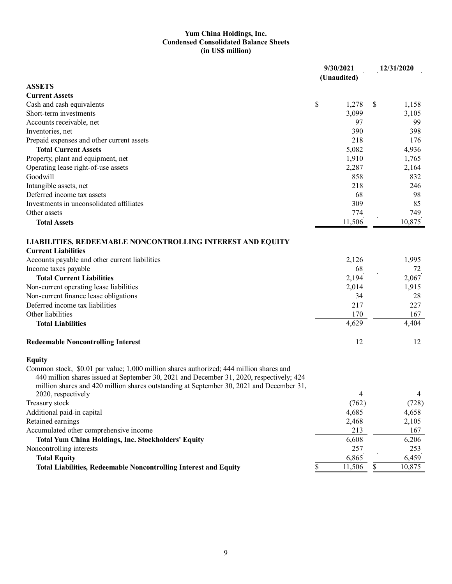## **Yum China Holdings, Inc. Condensed Consolidated Balance Sheets (in US\$ million)**

|                                                                                                                                                                                                                                                                                                       |    | 9/30/2021<br>(Unaudited) | 12/31/2020 |        |
|-------------------------------------------------------------------------------------------------------------------------------------------------------------------------------------------------------------------------------------------------------------------------------------------------------|----|--------------------------|------------|--------|
| <b>ASSETS</b>                                                                                                                                                                                                                                                                                         |    |                          |            |        |
| <b>Current Assets</b>                                                                                                                                                                                                                                                                                 |    |                          |            |        |
| Cash and cash equivalents                                                                                                                                                                                                                                                                             | \$ | 1,278                    | S          | 1,158  |
| Short-term investments                                                                                                                                                                                                                                                                                |    | 3,099                    |            | 3,105  |
| Accounts receivable, net                                                                                                                                                                                                                                                                              |    | 97                       |            | 99     |
| Inventories, net                                                                                                                                                                                                                                                                                      |    | 390                      |            | 398    |
| Prepaid expenses and other current assets                                                                                                                                                                                                                                                             |    | 218                      |            | 176    |
| <b>Total Current Assets</b>                                                                                                                                                                                                                                                                           |    | 5,082                    |            | 4,936  |
| Property, plant and equipment, net                                                                                                                                                                                                                                                                    |    | 1,910                    |            | 1,765  |
| Operating lease right-of-use assets                                                                                                                                                                                                                                                                   |    | 2,287                    |            | 2,164  |
| Goodwill                                                                                                                                                                                                                                                                                              |    | 858                      |            | 832    |
| Intangible assets, net                                                                                                                                                                                                                                                                                |    | 218                      |            | 246    |
| Deferred income tax assets                                                                                                                                                                                                                                                                            |    | 68                       |            | 98     |
| Investments in unconsolidated affiliates                                                                                                                                                                                                                                                              |    | 309                      |            | 85     |
| Other assets                                                                                                                                                                                                                                                                                          |    | 774                      |            | 749    |
| <b>Total Assets</b>                                                                                                                                                                                                                                                                                   |    | 11,506                   |            | 10,875 |
| <b>LIABILITIES, REDEEMABLE NONCONTROLLING INTEREST AND EQUITY</b><br><b>Current Liabilities</b>                                                                                                                                                                                                       |    |                          |            |        |
| Accounts payable and other current liabilities                                                                                                                                                                                                                                                        |    | 2,126                    |            | 1,995  |
| Income taxes payable                                                                                                                                                                                                                                                                                  |    | 68                       |            | 72     |
| <b>Total Current Liabilities</b>                                                                                                                                                                                                                                                                      |    | 2,194                    |            | 2,067  |
| Non-current operating lease liabilities                                                                                                                                                                                                                                                               |    | 2,014                    |            | 1,915  |
| Non-current finance lease obligations                                                                                                                                                                                                                                                                 |    | 34                       |            | 28     |
| Deferred income tax liabilities                                                                                                                                                                                                                                                                       |    | 217                      |            | 227    |
| Other liabilities                                                                                                                                                                                                                                                                                     |    | 170                      |            | 167    |
| <b>Total Liabilities</b>                                                                                                                                                                                                                                                                              |    | 4,629                    |            | 4,404  |
| <b>Redeemable Noncontrolling Interest</b>                                                                                                                                                                                                                                                             |    | 12                       |            | 12     |
| <b>Equity</b>                                                                                                                                                                                                                                                                                         |    |                          |            |        |
| Common stock, \$0.01 par value; 1,000 million shares authorized; 444 million shares and<br>440 million shares issued at September 30, 2021 and December 31, 2020, respectively; 424<br>million shares and 420 million shares outstanding at September 30, 2021 and December 31,<br>2020, respectively |    |                          |            | 4      |
|                                                                                                                                                                                                                                                                                                       |    | 4                        |            |        |
| Treasury stock                                                                                                                                                                                                                                                                                        |    | (762)                    |            | (728)  |
| Additional paid-in capital                                                                                                                                                                                                                                                                            |    | 4,685                    |            | 4,658  |
| Retained earnings                                                                                                                                                                                                                                                                                     |    | 2,468                    |            | 2,105  |
| Accumulated other comprehensive income                                                                                                                                                                                                                                                                |    | 213                      |            | 167    |
| <b>Total Yum China Holdings, Inc. Stockholders' Equity</b>                                                                                                                                                                                                                                            |    | 6,608                    |            | 6,206  |
| Noncontrolling interests                                                                                                                                                                                                                                                                              |    | 257                      |            | 253    |
| <b>Total Equity</b>                                                                                                                                                                                                                                                                                   |    | 6,865                    |            | 6,459  |
| <b>Total Liabilities, Redeemable Noncontrolling Interest and Equity</b>                                                                                                                                                                                                                               | \$ | 11,506                   | \$         | 10,875 |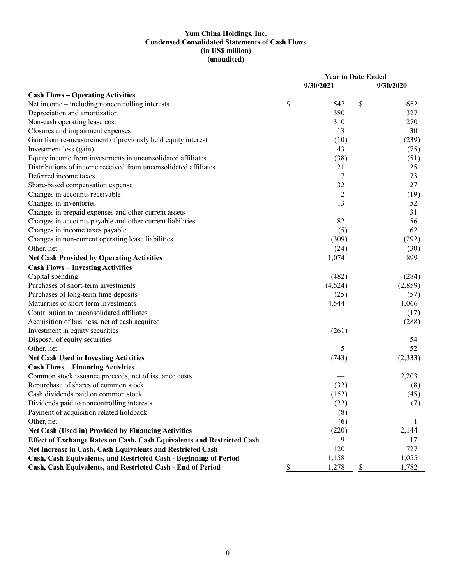## **Yum China Holdings, Inc. Condensed Consolidated Statements of Cash Flows (in US\$ million) (unaudited)**

| 9/30/2021<br>9/30/2020<br>Net income – including noncontrolling interests<br>\$<br>\$<br>547<br>652<br>Depreciation and amortization<br>380<br>327<br>Non-cash operating lease cost<br>270<br>310<br>Closures and impairment expenses<br>13<br>30<br>Gain from re-measurement of previously held equity interest<br>(10)<br>(239)<br>Investment loss (gain)<br>43<br>(75)<br>(38)<br>Equity income from investments in unconsolidated affiliates<br>(51)<br>Distributions of income received from unconsolidated affiliates<br>21<br>25<br>Deferred income taxes<br>17<br>73<br>32<br>27<br>Share-based compensation expense<br>Changes in accounts receivable<br>$\overline{c}$<br>(19)<br>Changes in inventories<br>13<br>52<br>Changes in prepaid expenses and other current assets<br>31<br>Changes in accounts payable and other current liabilities<br>82<br>56<br>Changes in income taxes payable<br>62<br>(5)<br>Changes in non-current operating lease liabilities<br>(309)<br>(292)<br>(24)<br>Other, net<br>(30)<br>1,074<br>899<br><b>Net Cash Provided by Operating Activities</b><br><b>Cash Flows - Investing Activities</b><br>Capital spending<br>(482)<br>(284)<br>Purchases of short-term investments<br>(4,524)<br>(2,859)<br>Purchases of long-term time deposits<br>(57)<br>(25)<br>Maturities of short-term investments<br>4,544<br>1,066<br>Contribution to unconsolidated affiliates<br>(17)<br>Acquisition of business, net of cash acquired<br>(288)<br>(261)<br>Investment in equity securities<br>Disposal of equity securities<br>54<br>Other, net<br>5<br>52<br>(743)<br>(2, 333)<br><b>Net Cash Used in Investing Activities</b><br><b>Cash Flows - Financing Activities</b><br>Common stock issuance proceeds, net of issuance costs<br>2,203<br>Repurchase of shares of common stock<br>(32)<br>(8)<br>Cash dividends paid on common stock<br>(152)<br>(45)<br>(22)<br>Dividends paid to noncontrolling interests<br>(7)<br>Payment of acquisition related holdback<br>(8)<br>(6)<br>Other, net<br>2,144<br>(220)<br><b>Net Cash (Used in) Provided by Financing Activities</b><br>9<br>Effect of Exchange Rates on Cash, Cash Equivalents and Restricted Cash<br>17<br>Net Increase in Cash, Cash Equivalents and Restricted Cash<br>120<br>727<br>1,158<br>1,055<br>Cash, Cash Equivalents, and Restricted Cash - Beginning of Period<br>Cash, Cash Equivalents, and Restricted Cash - End of Period<br>\$<br>1,278<br>\$<br>1,782 |                                          | <b>Year to Date Ended</b> |  |  |  |  |
|------------------------------------------------------------------------------------------------------------------------------------------------------------------------------------------------------------------------------------------------------------------------------------------------------------------------------------------------------------------------------------------------------------------------------------------------------------------------------------------------------------------------------------------------------------------------------------------------------------------------------------------------------------------------------------------------------------------------------------------------------------------------------------------------------------------------------------------------------------------------------------------------------------------------------------------------------------------------------------------------------------------------------------------------------------------------------------------------------------------------------------------------------------------------------------------------------------------------------------------------------------------------------------------------------------------------------------------------------------------------------------------------------------------------------------------------------------------------------------------------------------------------------------------------------------------------------------------------------------------------------------------------------------------------------------------------------------------------------------------------------------------------------------------------------------------------------------------------------------------------------------------------------------------------------------------------------------------------------------------------------------------------------------------------------------------------------------------------------------------------------------------------------------------------------------------------------------------------------------------------------------------------------------------------------------------------------------------------------------------------------------------------------------------------------------------------------------------------|------------------------------------------|---------------------------|--|--|--|--|
|                                                                                                                                                                                                                                                                                                                                                                                                                                                                                                                                                                                                                                                                                                                                                                                                                                                                                                                                                                                                                                                                                                                                                                                                                                                                                                                                                                                                                                                                                                                                                                                                                                                                                                                                                                                                                                                                                                                                                                                                                                                                                                                                                                                                                                                                                                                                                                                                                                                                        |                                          |                           |  |  |  |  |
|                                                                                                                                                                                                                                                                                                                                                                                                                                                                                                                                                                                                                                                                                                                                                                                                                                                                                                                                                                                                                                                                                                                                                                                                                                                                                                                                                                                                                                                                                                                                                                                                                                                                                                                                                                                                                                                                                                                                                                                                                                                                                                                                                                                                                                                                                                                                                                                                                                                                        | <b>Cash Flows - Operating Activities</b> |                           |  |  |  |  |
|                                                                                                                                                                                                                                                                                                                                                                                                                                                                                                                                                                                                                                                                                                                                                                                                                                                                                                                                                                                                                                                                                                                                                                                                                                                                                                                                                                                                                                                                                                                                                                                                                                                                                                                                                                                                                                                                                                                                                                                                                                                                                                                                                                                                                                                                                                                                                                                                                                                                        |                                          |                           |  |  |  |  |
|                                                                                                                                                                                                                                                                                                                                                                                                                                                                                                                                                                                                                                                                                                                                                                                                                                                                                                                                                                                                                                                                                                                                                                                                                                                                                                                                                                                                                                                                                                                                                                                                                                                                                                                                                                                                                                                                                                                                                                                                                                                                                                                                                                                                                                                                                                                                                                                                                                                                        |                                          |                           |  |  |  |  |
|                                                                                                                                                                                                                                                                                                                                                                                                                                                                                                                                                                                                                                                                                                                                                                                                                                                                                                                                                                                                                                                                                                                                                                                                                                                                                                                                                                                                                                                                                                                                                                                                                                                                                                                                                                                                                                                                                                                                                                                                                                                                                                                                                                                                                                                                                                                                                                                                                                                                        |                                          |                           |  |  |  |  |
|                                                                                                                                                                                                                                                                                                                                                                                                                                                                                                                                                                                                                                                                                                                                                                                                                                                                                                                                                                                                                                                                                                                                                                                                                                                                                                                                                                                                                                                                                                                                                                                                                                                                                                                                                                                                                                                                                                                                                                                                                                                                                                                                                                                                                                                                                                                                                                                                                                                                        |                                          |                           |  |  |  |  |
|                                                                                                                                                                                                                                                                                                                                                                                                                                                                                                                                                                                                                                                                                                                                                                                                                                                                                                                                                                                                                                                                                                                                                                                                                                                                                                                                                                                                                                                                                                                                                                                                                                                                                                                                                                                                                                                                                                                                                                                                                                                                                                                                                                                                                                                                                                                                                                                                                                                                        |                                          |                           |  |  |  |  |
|                                                                                                                                                                                                                                                                                                                                                                                                                                                                                                                                                                                                                                                                                                                                                                                                                                                                                                                                                                                                                                                                                                                                                                                                                                                                                                                                                                                                                                                                                                                                                                                                                                                                                                                                                                                                                                                                                                                                                                                                                                                                                                                                                                                                                                                                                                                                                                                                                                                                        |                                          |                           |  |  |  |  |
|                                                                                                                                                                                                                                                                                                                                                                                                                                                                                                                                                                                                                                                                                                                                                                                                                                                                                                                                                                                                                                                                                                                                                                                                                                                                                                                                                                                                                                                                                                                                                                                                                                                                                                                                                                                                                                                                                                                                                                                                                                                                                                                                                                                                                                                                                                                                                                                                                                                                        |                                          |                           |  |  |  |  |
|                                                                                                                                                                                                                                                                                                                                                                                                                                                                                                                                                                                                                                                                                                                                                                                                                                                                                                                                                                                                                                                                                                                                                                                                                                                                                                                                                                                                                                                                                                                                                                                                                                                                                                                                                                                                                                                                                                                                                                                                                                                                                                                                                                                                                                                                                                                                                                                                                                                                        |                                          |                           |  |  |  |  |
|                                                                                                                                                                                                                                                                                                                                                                                                                                                                                                                                                                                                                                                                                                                                                                                                                                                                                                                                                                                                                                                                                                                                                                                                                                                                                                                                                                                                                                                                                                                                                                                                                                                                                                                                                                                                                                                                                                                                                                                                                                                                                                                                                                                                                                                                                                                                                                                                                                                                        |                                          |                           |  |  |  |  |
|                                                                                                                                                                                                                                                                                                                                                                                                                                                                                                                                                                                                                                                                                                                                                                                                                                                                                                                                                                                                                                                                                                                                                                                                                                                                                                                                                                                                                                                                                                                                                                                                                                                                                                                                                                                                                                                                                                                                                                                                                                                                                                                                                                                                                                                                                                                                                                                                                                                                        |                                          |                           |  |  |  |  |
|                                                                                                                                                                                                                                                                                                                                                                                                                                                                                                                                                                                                                                                                                                                                                                                                                                                                                                                                                                                                                                                                                                                                                                                                                                                                                                                                                                                                                                                                                                                                                                                                                                                                                                                                                                                                                                                                                                                                                                                                                                                                                                                                                                                                                                                                                                                                                                                                                                                                        |                                          |                           |  |  |  |  |
|                                                                                                                                                                                                                                                                                                                                                                                                                                                                                                                                                                                                                                                                                                                                                                                                                                                                                                                                                                                                                                                                                                                                                                                                                                                                                                                                                                                                                                                                                                                                                                                                                                                                                                                                                                                                                                                                                                                                                                                                                                                                                                                                                                                                                                                                                                                                                                                                                                                                        |                                          |                           |  |  |  |  |
|                                                                                                                                                                                                                                                                                                                                                                                                                                                                                                                                                                                                                                                                                                                                                                                                                                                                                                                                                                                                                                                                                                                                                                                                                                                                                                                                                                                                                                                                                                                                                                                                                                                                                                                                                                                                                                                                                                                                                                                                                                                                                                                                                                                                                                                                                                                                                                                                                                                                        |                                          |                           |  |  |  |  |
|                                                                                                                                                                                                                                                                                                                                                                                                                                                                                                                                                                                                                                                                                                                                                                                                                                                                                                                                                                                                                                                                                                                                                                                                                                                                                                                                                                                                                                                                                                                                                                                                                                                                                                                                                                                                                                                                                                                                                                                                                                                                                                                                                                                                                                                                                                                                                                                                                                                                        |                                          |                           |  |  |  |  |
|                                                                                                                                                                                                                                                                                                                                                                                                                                                                                                                                                                                                                                                                                                                                                                                                                                                                                                                                                                                                                                                                                                                                                                                                                                                                                                                                                                                                                                                                                                                                                                                                                                                                                                                                                                                                                                                                                                                                                                                                                                                                                                                                                                                                                                                                                                                                                                                                                                                                        |                                          |                           |  |  |  |  |
|                                                                                                                                                                                                                                                                                                                                                                                                                                                                                                                                                                                                                                                                                                                                                                                                                                                                                                                                                                                                                                                                                                                                                                                                                                                                                                                                                                                                                                                                                                                                                                                                                                                                                                                                                                                                                                                                                                                                                                                                                                                                                                                                                                                                                                                                                                                                                                                                                                                                        |                                          |                           |  |  |  |  |
|                                                                                                                                                                                                                                                                                                                                                                                                                                                                                                                                                                                                                                                                                                                                                                                                                                                                                                                                                                                                                                                                                                                                                                                                                                                                                                                                                                                                                                                                                                                                                                                                                                                                                                                                                                                                                                                                                                                                                                                                                                                                                                                                                                                                                                                                                                                                                                                                                                                                        |                                          |                           |  |  |  |  |
|                                                                                                                                                                                                                                                                                                                                                                                                                                                                                                                                                                                                                                                                                                                                                                                                                                                                                                                                                                                                                                                                                                                                                                                                                                                                                                                                                                                                                                                                                                                                                                                                                                                                                                                                                                                                                                                                                                                                                                                                                                                                                                                                                                                                                                                                                                                                                                                                                                                                        |                                          |                           |  |  |  |  |
|                                                                                                                                                                                                                                                                                                                                                                                                                                                                                                                                                                                                                                                                                                                                                                                                                                                                                                                                                                                                                                                                                                                                                                                                                                                                                                                                                                                                                                                                                                                                                                                                                                                                                                                                                                                                                                                                                                                                                                                                                                                                                                                                                                                                                                                                                                                                                                                                                                                                        |                                          |                           |  |  |  |  |
|                                                                                                                                                                                                                                                                                                                                                                                                                                                                                                                                                                                                                                                                                                                                                                                                                                                                                                                                                                                                                                                                                                                                                                                                                                                                                                                                                                                                                                                                                                                                                                                                                                                                                                                                                                                                                                                                                                                                                                                                                                                                                                                                                                                                                                                                                                                                                                                                                                                                        |                                          |                           |  |  |  |  |
|                                                                                                                                                                                                                                                                                                                                                                                                                                                                                                                                                                                                                                                                                                                                                                                                                                                                                                                                                                                                                                                                                                                                                                                                                                                                                                                                                                                                                                                                                                                                                                                                                                                                                                                                                                                                                                                                                                                                                                                                                                                                                                                                                                                                                                                                                                                                                                                                                                                                        |                                          |                           |  |  |  |  |
|                                                                                                                                                                                                                                                                                                                                                                                                                                                                                                                                                                                                                                                                                                                                                                                                                                                                                                                                                                                                                                                                                                                                                                                                                                                                                                                                                                                                                                                                                                                                                                                                                                                                                                                                                                                                                                                                                                                                                                                                                                                                                                                                                                                                                                                                                                                                                                                                                                                                        |                                          |                           |  |  |  |  |
|                                                                                                                                                                                                                                                                                                                                                                                                                                                                                                                                                                                                                                                                                                                                                                                                                                                                                                                                                                                                                                                                                                                                                                                                                                                                                                                                                                                                                                                                                                                                                                                                                                                                                                                                                                                                                                                                                                                                                                                                                                                                                                                                                                                                                                                                                                                                                                                                                                                                        |                                          |                           |  |  |  |  |
|                                                                                                                                                                                                                                                                                                                                                                                                                                                                                                                                                                                                                                                                                                                                                                                                                                                                                                                                                                                                                                                                                                                                                                                                                                                                                                                                                                                                                                                                                                                                                                                                                                                                                                                                                                                                                                                                                                                                                                                                                                                                                                                                                                                                                                                                                                                                                                                                                                                                        |                                          |                           |  |  |  |  |
|                                                                                                                                                                                                                                                                                                                                                                                                                                                                                                                                                                                                                                                                                                                                                                                                                                                                                                                                                                                                                                                                                                                                                                                                                                                                                                                                                                                                                                                                                                                                                                                                                                                                                                                                                                                                                                                                                                                                                                                                                                                                                                                                                                                                                                                                                                                                                                                                                                                                        |                                          |                           |  |  |  |  |
|                                                                                                                                                                                                                                                                                                                                                                                                                                                                                                                                                                                                                                                                                                                                                                                                                                                                                                                                                                                                                                                                                                                                                                                                                                                                                                                                                                                                                                                                                                                                                                                                                                                                                                                                                                                                                                                                                                                                                                                                                                                                                                                                                                                                                                                                                                                                                                                                                                                                        |                                          |                           |  |  |  |  |
|                                                                                                                                                                                                                                                                                                                                                                                                                                                                                                                                                                                                                                                                                                                                                                                                                                                                                                                                                                                                                                                                                                                                                                                                                                                                                                                                                                                                                                                                                                                                                                                                                                                                                                                                                                                                                                                                                                                                                                                                                                                                                                                                                                                                                                                                                                                                                                                                                                                                        |                                          |                           |  |  |  |  |
|                                                                                                                                                                                                                                                                                                                                                                                                                                                                                                                                                                                                                                                                                                                                                                                                                                                                                                                                                                                                                                                                                                                                                                                                                                                                                                                                                                                                                                                                                                                                                                                                                                                                                                                                                                                                                                                                                                                                                                                                                                                                                                                                                                                                                                                                                                                                                                                                                                                                        |                                          |                           |  |  |  |  |
|                                                                                                                                                                                                                                                                                                                                                                                                                                                                                                                                                                                                                                                                                                                                                                                                                                                                                                                                                                                                                                                                                                                                                                                                                                                                                                                                                                                                                                                                                                                                                                                                                                                                                                                                                                                                                                                                                                                                                                                                                                                                                                                                                                                                                                                                                                                                                                                                                                                                        |                                          |                           |  |  |  |  |
|                                                                                                                                                                                                                                                                                                                                                                                                                                                                                                                                                                                                                                                                                                                                                                                                                                                                                                                                                                                                                                                                                                                                                                                                                                                                                                                                                                                                                                                                                                                                                                                                                                                                                                                                                                                                                                                                                                                                                                                                                                                                                                                                                                                                                                                                                                                                                                                                                                                                        |                                          |                           |  |  |  |  |
|                                                                                                                                                                                                                                                                                                                                                                                                                                                                                                                                                                                                                                                                                                                                                                                                                                                                                                                                                                                                                                                                                                                                                                                                                                                                                                                                                                                                                                                                                                                                                                                                                                                                                                                                                                                                                                                                                                                                                                                                                                                                                                                                                                                                                                                                                                                                                                                                                                                                        |                                          |                           |  |  |  |  |
|                                                                                                                                                                                                                                                                                                                                                                                                                                                                                                                                                                                                                                                                                                                                                                                                                                                                                                                                                                                                                                                                                                                                                                                                                                                                                                                                                                                                                                                                                                                                                                                                                                                                                                                                                                                                                                                                                                                                                                                                                                                                                                                                                                                                                                                                                                                                                                                                                                                                        |                                          |                           |  |  |  |  |
|                                                                                                                                                                                                                                                                                                                                                                                                                                                                                                                                                                                                                                                                                                                                                                                                                                                                                                                                                                                                                                                                                                                                                                                                                                                                                                                                                                                                                                                                                                                                                                                                                                                                                                                                                                                                                                                                                                                                                                                                                                                                                                                                                                                                                                                                                                                                                                                                                                                                        |                                          |                           |  |  |  |  |
|                                                                                                                                                                                                                                                                                                                                                                                                                                                                                                                                                                                                                                                                                                                                                                                                                                                                                                                                                                                                                                                                                                                                                                                                                                                                                                                                                                                                                                                                                                                                                                                                                                                                                                                                                                                                                                                                                                                                                                                                                                                                                                                                                                                                                                                                                                                                                                                                                                                                        |                                          |                           |  |  |  |  |
|                                                                                                                                                                                                                                                                                                                                                                                                                                                                                                                                                                                                                                                                                                                                                                                                                                                                                                                                                                                                                                                                                                                                                                                                                                                                                                                                                                                                                                                                                                                                                                                                                                                                                                                                                                                                                                                                                                                                                                                                                                                                                                                                                                                                                                                                                                                                                                                                                                                                        |                                          |                           |  |  |  |  |
|                                                                                                                                                                                                                                                                                                                                                                                                                                                                                                                                                                                                                                                                                                                                                                                                                                                                                                                                                                                                                                                                                                                                                                                                                                                                                                                                                                                                                                                                                                                                                                                                                                                                                                                                                                                                                                                                                                                                                                                                                                                                                                                                                                                                                                                                                                                                                                                                                                                                        |                                          |                           |  |  |  |  |
|                                                                                                                                                                                                                                                                                                                                                                                                                                                                                                                                                                                                                                                                                                                                                                                                                                                                                                                                                                                                                                                                                                                                                                                                                                                                                                                                                                                                                                                                                                                                                                                                                                                                                                                                                                                                                                                                                                                                                                                                                                                                                                                                                                                                                                                                                                                                                                                                                                                                        |                                          |                           |  |  |  |  |
|                                                                                                                                                                                                                                                                                                                                                                                                                                                                                                                                                                                                                                                                                                                                                                                                                                                                                                                                                                                                                                                                                                                                                                                                                                                                                                                                                                                                                                                                                                                                                                                                                                                                                                                                                                                                                                                                                                                                                                                                                                                                                                                                                                                                                                                                                                                                                                                                                                                                        |                                          |                           |  |  |  |  |
|                                                                                                                                                                                                                                                                                                                                                                                                                                                                                                                                                                                                                                                                                                                                                                                                                                                                                                                                                                                                                                                                                                                                                                                                                                                                                                                                                                                                                                                                                                                                                                                                                                                                                                                                                                                                                                                                                                                                                                                                                                                                                                                                                                                                                                                                                                                                                                                                                                                                        |                                          |                           |  |  |  |  |
|                                                                                                                                                                                                                                                                                                                                                                                                                                                                                                                                                                                                                                                                                                                                                                                                                                                                                                                                                                                                                                                                                                                                                                                                                                                                                                                                                                                                                                                                                                                                                                                                                                                                                                                                                                                                                                                                                                                                                                                                                                                                                                                                                                                                                                                                                                                                                                                                                                                                        |                                          |                           |  |  |  |  |
|                                                                                                                                                                                                                                                                                                                                                                                                                                                                                                                                                                                                                                                                                                                                                                                                                                                                                                                                                                                                                                                                                                                                                                                                                                                                                                                                                                                                                                                                                                                                                                                                                                                                                                                                                                                                                                                                                                                                                                                                                                                                                                                                                                                                                                                                                                                                                                                                                                                                        |                                          |                           |  |  |  |  |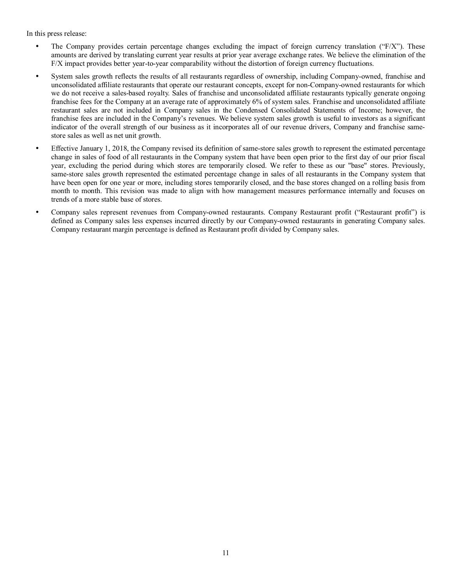In this press release:

- The Company provides certain percentage changes excluding the impact of foreign currency translation (" $F/X$ "). These amounts are derived by translating current year results at prior year average exchange rates. We believe the elimination of the F/X impact provides better year-to-year comparability without the distortion of foreign currency fluctuations.
- System sales growth reflects the results of all restaurants regardless of ownership, including Company-owned, franchise and unconsolidated affiliate restaurants that operate our restaurant concepts, except for non-Company-owned restaurants for which we do not receive a sales-based royalty. Sales of franchise and unconsolidated affiliate restaurants typically generate ongoing franchise fees for the Company at an average rate of approximately 6% of system sales. Franchise and unconsolidated affiliate restaurant sales are not included in Company sales in the Condensed Consolidated Statements of Income; however, the franchise fees are included in the Company's revenues. We believe system sales growth is useful to investors as a significant indicator of the overall strength of our business as it incorporates all of our revenue drivers, Company and franchise samestore sales as well as net unit growth.
- Effective January 1, 2018, the Company revised its definition of same-store sales growth to represent the estimated percentage change in sales of food of all restaurants in the Company system that have been open prior to the first day of our prior fiscal year, excluding the period during which stores are temporarily closed. We refer to these as our "base" stores. Previously, same-store sales growth represented the estimated percentage change in sales of all restaurants in the Company system that have been open for one year or more, including stores temporarily closed, and the base stores changed on a rolling basis from month to month. This revision was made to align with how management measures performance internally and focuses on trends of a more stable base of stores.
- Company sales represent revenues from Company-owned restaurants. Company Restaurant profit ("Restaurant profit") is defined as Company sales less expenses incurred directly by our Company-owned restaurants in generating Company sales. Company restaurant margin percentage is defined as Restaurant profit divided by Company sales.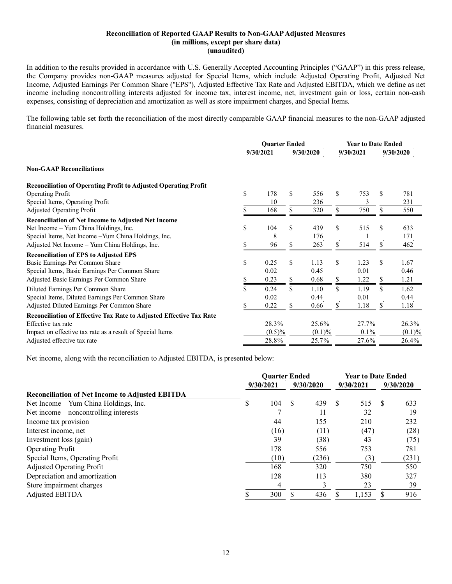#### **Reconciliation of Reported GAAP Results to Non-GAAP Adjusted Measures (in millions, except per share data) (unaudited)**

In addition to the results provided in accordance with U.S. Generally Accepted Accounting Principles ("GAAP") in this press release, the Company provides non-GAAP measures adjusted for Special Items, which include Adjusted Operating Profit, Adjusted Net Income, Adjusted Earnings Per Common Share ("EPS"), Adjusted Effective Tax Rate and Adjusted EBITDA, which we define as net income including noncontrolling interests adjusted for income tax, interest income, net, investment gain or loss, certain non-cash expenses, consisting of depreciation and amortization as well as store impairment charges, and Special Items.

The following table set forth the reconciliation of the most directly comparable GAAP financial measures to the non-GAAP adjusted financial measures.

|                                                                        | <b>Quarter Ended</b> |           |    |           | <b>Year to Date Ended</b> |           |           |        |  |
|------------------------------------------------------------------------|----------------------|-----------|----|-----------|---------------------------|-----------|-----------|--------|--|
|                                                                        |                      | 9/30/2021 |    | 9/30/2020 |                           | 9/30/2021 | 9/30/2020 |        |  |
| <b>Non-GAAP Reconciliations</b>                                        |                      |           |    |           |                           |           |           |        |  |
| <b>Reconciliation of Operating Profit to Adjusted Operating Profit</b> |                      |           |    |           |                           |           |           |        |  |
| <b>Operating Profit</b>                                                | \$                   | 178       | \$ | 556       | \$.                       | 753       | \$        | 781    |  |
| Special Items, Operating Profit                                        |                      | 10        |    | 236       |                           | 3         |           | 231    |  |
| <b>Adjusted Operating Profit</b>                                       |                      | 168       | \$ | 320       | \$                        | 750       |           | 550    |  |
| <b>Reconciliation of Net Income to Adjusted Net Income</b>             |                      |           |    |           |                           |           |           |        |  |
| Net Income - Yum China Holdings, Inc.                                  | \$                   | 104       | \$ | 439       | \$                        | 515       | \$        | 633    |  |
| Special Items, Net Income - Yum China Holdings, Inc.                   |                      | 8         |    | 176       |                           |           |           | 171    |  |
| Adjusted Net Income - Yum China Holdings, Inc.                         |                      | 96        | \$ | 263       | \$                        | 514       | \$        | 462    |  |
| <b>Reconciliation of EPS to Adjusted EPS</b>                           |                      |           |    |           |                           |           |           |        |  |
| Basic Earnings Per Common Share                                        | \$                   | 0.25      | \$ | 1.13      | \$                        | 1.23      | \$        | 1.67   |  |
| Special Items, Basic Earnings Per Common Share                         |                      | 0.02      |    | 0.45      |                           | 0.01      |           | 0.46   |  |
| Adjusted Basic Earnings Per Common Share                               |                      | 0.23      | \$ | 0.68      | \$                        | 1.22      | \$        | 1.21   |  |
| Diluted Earnings Per Common Share                                      | \$                   | 0.24      | \$ | 1.10      | \$                        | 1.19      | \$        | 1.62   |  |
| Special Items, Diluted Earnings Per Common Share                       |                      | 0.02      |    | 0.44      |                           | 0.01      |           | 0.44   |  |
| Adjusted Diluted Earnings Per Common Share                             |                      | 0.22      | \$ | 0.66      | S.                        | 1.18      | \$.       | 1.18   |  |
| Reconciliation of Effective Tax Rate to Adjusted Effective Tax Rate    |                      |           |    |           |                           |           |           |        |  |
| Effective tax rate                                                     |                      | 28.3%     |    | 25.6%     |                           | 27.7%     |           | 26.3%  |  |
| Impact on effective tax rate as a result of Special Items              |                      | $(0.5)\%$ |    | $(0.1)\%$ |                           | $0.1\%$   |           | (0.1)% |  |
| Adjusted effective tax rate                                            |                      | 28.8%     |    | 25.7%     |                           | 27.6%     |           | 26.4%  |  |

Net income, along with the reconciliation to Adjusted EBITDA, is presented below:

|                                                        |   | <b>Quarter Ended</b> |    | <b>Year to Date Ended</b> |    |           |           |       |
|--------------------------------------------------------|---|----------------------|----|---------------------------|----|-----------|-----------|-------|
|                                                        |   | 9/30/2021            |    | 9/30/2020                 |    | 9/30/2021 | 9/30/2020 |       |
| <b>Reconciliation of Net Income to Adjusted EBITDA</b> |   |                      |    |                           |    |           |           |       |
| Net Income – Yum China Holdings, Inc.                  | S | 104                  | \$ | 439                       | -S | 515       | \$.       | 633   |
| Net income $-$ noncontrolling interests                |   |                      |    | 11                        |    | 32        |           | 19    |
| Income tax provision                                   |   | 44                   |    | 155                       |    | 210       |           | 232   |
| Interest income, net                                   |   | (16)                 |    | (11)                      |    | (47)      |           | (28)  |
| Investment loss (gain)                                 |   | 39                   |    | (38)                      |    | 43        |           | (75)  |
| <b>Operating Profit</b>                                |   | 178                  |    | 556                       |    | 753       |           | 781   |
| Special Items, Operating Profit                        |   | (10)                 |    | (236)                     |    | (3)       |           | (231) |
| <b>Adjusted Operating Profit</b>                       |   | 168                  |    | 320                       |    | 750       |           | 550   |
| Depreciation and amortization                          |   | 128                  |    | 113                       |    | 380       |           | 327   |
| Store impairment charges                               |   | 4                    |    |                           |    | 23        |           | 39    |
| Adjusted EBITDA                                        |   | 300                  |    | 436                       |    | 1,153     |           | 916   |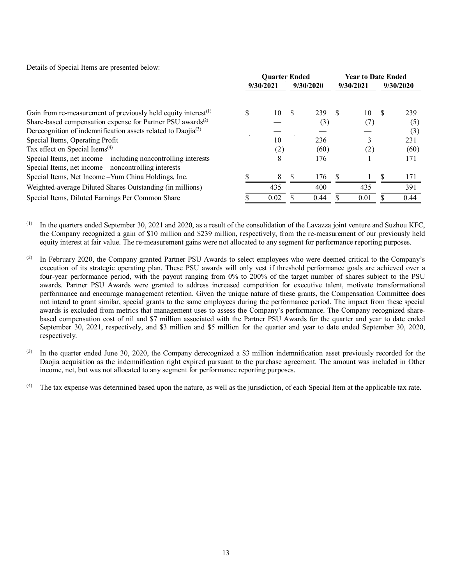Details of Special Items are presented below:

|                                                                          |   | <b>Ouarter Ended</b> |              |           | <b>Year to Date Ended</b> |           |     |           |  |
|--------------------------------------------------------------------------|---|----------------------|--------------|-----------|---------------------------|-----------|-----|-----------|--|
|                                                                          |   | 9/30/2021            |              | 9/30/2020 |                           | 9/30/2021 |     | 9/30/2020 |  |
| Gain from re-measurement of previously held equity interest $(1)$        | S | 10                   | <sup>S</sup> | 239       | -8                        | 10        | \$. | 239       |  |
| Share-based compensation expense for Partner PSU awards <sup>(2)</sup>   |   |                      |              | (3)       |                           |           |     | (5)       |  |
| Derecognition of indemnification assets related to Daojia <sup>(3)</sup> |   |                      |              |           |                           |           |     | (3)       |  |
| Special Items, Operating Profit                                          |   | 10                   |              | 236       |                           |           |     | 231       |  |
| Tax effect on Special Items <sup>(4)</sup>                               |   | (2)                  |              | (60)      |                           |           |     | (60)      |  |
| Special Items, net income - including noncontrolling interests           |   | 8                    |              | 176       |                           |           |     | 171       |  |
| Special Items, net income – noncontrolling interests                     |   |                      |              |           |                           |           |     |           |  |
| Special Items, Net Income - Yum China Holdings, Inc.                     |   | 8                    |              | 176       |                           |           |     | 171       |  |
| Weighted-average Diluted Shares Outstanding (in millions)                |   | 435                  |              | 400       |                           | 435       |     | 391       |  |
| Special Items, Diluted Earnings Per Common Share                         |   | 0.02                 |              | 0.44      |                           | 0.01      |     | 0.44      |  |

In the quarters ended September 30, 2021 and 2020, as a result of the consolidation of the Lavazza joint venture and Suzhou KFC, the Company recognized a gain of \$10 million and \$239 million, respectively, from the re-measurement of our previously held equity interest at fair value. The re-measurement gains were not allocated to any segment for performance reporting purposes.

(2) In February 2020, the Company granted Partner PSU Awards to select employees who were deemed critical to the Company's execution of its strategic operating plan. These PSU awards will only vest if threshold performance goals are achieved over a four-year performance period, with the payout ranging from 0% to 200% of the target number of shares subject to the PSU awards. Partner PSU Awards were granted to address increased competition for executive talent, motivate transformational performance and encourage management retention. Given the unique nature of these grants, the Compensation Committee does not intend to grant similar, special grants to the same employees during the performance period. The impact from these special awards is excluded from metrics that management uses to assess the Company's performance. The Company recognized sharebased compensation cost of nil and \$7 million associated with the Partner PSU Awards for the quarter and year to date ended September 30, 2021, respectively, and \$3 million and \$5 million for the quarter and year to date ended September 30, 2020, respectively.

(3) In the quarter ended June 30, 2020, the Company derecognized a \$3 million indemnification asset previously recorded for the Daojia acquisition as the indemnification right expired pursuant to the purchase agreement. The amount was included in Other income, net, but was not allocated to any segment for performance reporting purposes.

(4) The tax expense was determined based upon the nature, as well as the jurisdiction, of each Special Item at the applicable tax rate.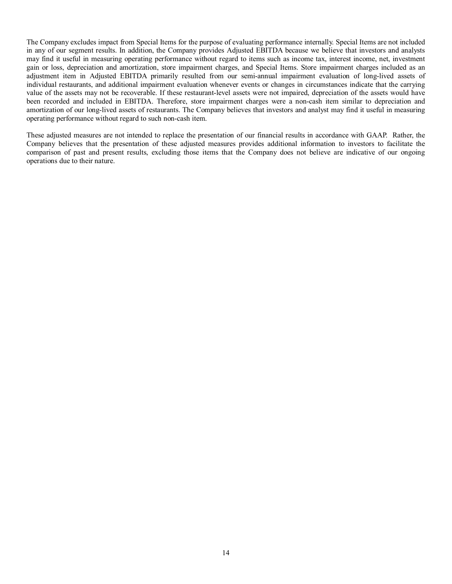The Company excludes impact from Special Items for the purpose of evaluating performance internally. Special Items are not included in any of our segment results. In addition, the Company provides Adjusted EBITDA because we believe that investors and analysts may find it useful in measuring operating performance without regard to items such as income tax, interest income, net, investment gain or loss, depreciation and amortization, store impairment charges, and Special Items. Store impairment charges included as an adjustment item in Adjusted EBITDA primarily resulted from our semi-annual impairment evaluation of long-lived assets of individual restaurants, and additional impairment evaluation whenever events or changes in circumstances indicate that the carrying value of the assets may not be recoverable. If these restaurant-level assets were not impaired, depreciation of the assets would have been recorded and included in EBITDA. Therefore, store impairment charges were a non-cash item similar to depreciation and amortization of our long-lived assets of restaurants. The Company believes that investors and analyst may find it useful in measuring operating performance without regard to such non-cash item.

These adjusted measures are not intended to replace the presentation of our financial results in accordance with GAAP. Rather, the Company believes that the presentation of these adjusted measures provides additional information to investors to facilitate the comparison of past and present results, excluding those items that the Company does not believe are indicative of our ongoing operations due to their nature.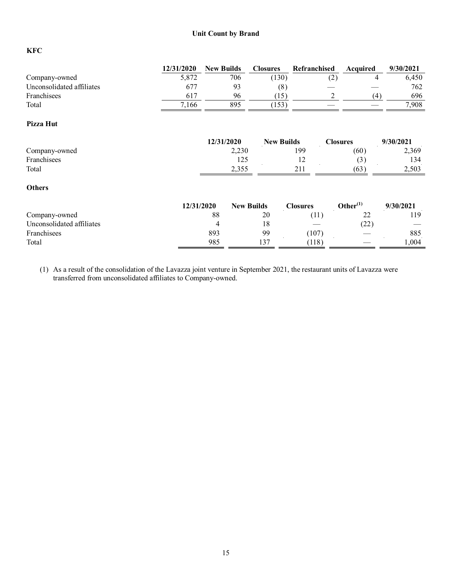## **Unit Count by Brand**

# **KFC**

|                           | 12/31/2020 | <b>New Builds</b> |                   | <b>Closures</b>   | Refranchised    |                      | Acquired | 9/30/2021 |
|---------------------------|------------|-------------------|-------------------|-------------------|-----------------|----------------------|----------|-----------|
| Company-owned             | 5,872      |                   | 706               | (130)             |                 | (2)                  | 4        | 6,450     |
| Unconsolidated affiliates | 677        |                   | 93                | (8)               |                 |                      |          | 762       |
| Franchisees               | 617        |                   | 96                | (15)              |                 | 2                    | (4)      | 696       |
| Total                     | 7,166      |                   | 895               | (153)             |                 |                      |          | 7,908     |
| Pizza Hut                 |            |                   |                   |                   |                 |                      |          |           |
|                           |            | 12/31/2020        |                   | <b>New Builds</b> |                 | <b>Closures</b>      |          | 9/30/2021 |
| Company-owned             |            |                   | 2,230             |                   | 199             |                      | (60)     | 2,369     |
| Franchisees               |            |                   | 125               |                   | 12              |                      | (3)      | 134       |
| Total                     |            |                   | 2,355             |                   | 211             |                      | (63)     | 2,503     |
| <b>Others</b>             |            |                   |                   |                   |                 |                      |          |           |
|                           | 12/31/2020 |                   | <b>New Builds</b> |                   | <b>Closures</b> | Other <sup>(1)</sup> |          | 9/30/2021 |
| Company-owned             |            | 88                |                   | 20                | (11)            |                      | 22       | 119       |
| Unconsolidated affiliates |            | 4                 |                   | 18                |                 |                      | (22)     |           |
| Franchisees               |            | 893               |                   | 99                | (107)           |                      |          | 885       |
| Total                     |            | 985               |                   | 137               | (118)           |                      |          | 1,004     |

(1) As a result of the consolidation of the Lavazza joint venture in September 2021, the restaurant units of Lavazza were transferred from unconsolidated affiliates to Company-owned.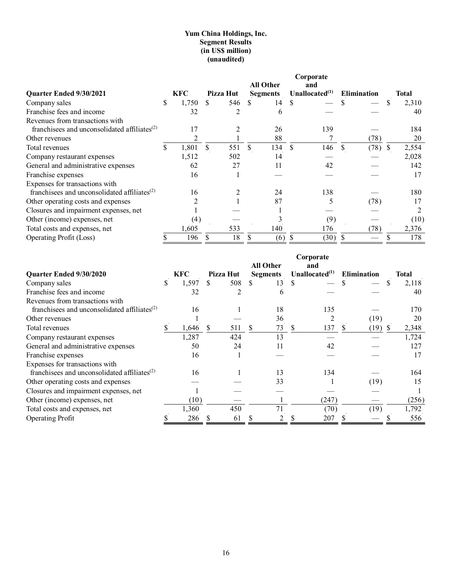## **Yum China Holdings, Inc. Segment Results (in US\$ million) (unaudited)**

|                                                          |    |       |    |           |                 |               | Corporate         |              |                    |   |       |
|----------------------------------------------------------|----|-------|----|-----------|-----------------|---------------|-------------------|--------------|--------------------|---|-------|
|                                                          |    |       |    |           | All Other       |               | and               |              |                    |   |       |
| <b>Ouarter Ended 9/30/2021</b>                           |    | KFC   |    | Pizza Hut | <b>Segments</b> |               | Unallocated $(1)$ |              | <b>Elimination</b> |   | Total |
| Company sales                                            | ъ. | 1,750 | \$ | 546       | 14<br>S.        | <sup>\$</sup> |                   |              |                    | S | 2,310 |
| Franchise fees and income                                |    | 32    |    |           | 6               |               |                   |              |                    |   | 40    |
| Revenues from transactions with                          |    |       |    |           |                 |               |                   |              |                    |   |       |
| franchisees and unconsolidated affiliates <sup>(2)</sup> |    | 17    |    |           | 26              |               | 139               |              |                    |   | 184   |
| Other revenues                                           |    |       |    |           | 88              |               |                   |              | (78)               |   | 20    |
| Total revenues                                           |    | 1,801 | S  | 551       | 134<br>S        | S.            | 146               | <sup>S</sup> | (78)               | S | 2,554 |
| Company restaurant expenses                              |    | 1,512 |    | 502       | 14              |               |                   |              |                    |   | 2,028 |
| General and administrative expenses                      |    | 62    |    | 27        | 11              |               | 42                |              |                    |   | 142   |
| Franchise expenses                                       |    | 16    |    |           |                 |               |                   |              |                    |   | 17    |
| Expenses for transactions with                           |    |       |    |           |                 |               |                   |              |                    |   |       |
| franchisees and unconsolidated affiliates $(2)$          |    | 16    |    |           | 24              |               | 138               |              |                    |   | 180   |
| Other operating costs and expenses                       |    |       |    |           | 87              |               |                   |              | (78)               |   | 17    |
| Closures and impairment expenses, net                    |    |       |    |           |                 |               |                   |              |                    |   |       |
| Other (income) expenses, net                             |    | (4)   |    |           |                 |               | (9)               |              |                    |   | (10)  |
| Total costs and expenses, net                            |    | 1,605 |    | 533       | 140             |               | 176               |              | (78)               |   | 2,376 |
| Operating Profit (Loss)                                  |    | 196   |    | 18        | (6)             |               | (30)              |              |                    |   | 178   |

|                                                 |             |                | Corporate |                  |  |                      |   |                    |     |       |  |
|-------------------------------------------------|-------------|----------------|-----------|------------------|--|----------------------|---|--------------------|-----|-------|--|
|                                                 |             |                |           | <b>All Other</b> |  | and                  |   |                    |     |       |  |
| Quarter Ended 9/30/2020                         | KFC         | Pizza Hut      |           | <b>Segments</b>  |  | Unallocated $^{(1)}$ |   | <b>Elimination</b> |     | Total |  |
| Company sales                                   | \$<br>1,597 | \$<br>508      |           | 13               |  |                      |   |                    | \$  | 2,118 |  |
| Franchise fees and income                       | 32          | $\mathfrak{D}$ |           | 6                |  |                      |   |                    |     | 40    |  |
| Revenues from transactions with                 |             |                |           |                  |  |                      |   |                    |     |       |  |
| franchisees and unconsolidated affiliates $(2)$ | 16          |                |           | 18               |  | 135                  |   |                    |     | 170   |  |
| Other revenues                                  |             |                |           | 36               |  |                      |   | (19)               |     | 20    |  |
| Total revenues                                  | 1,646       | \$<br>511      | \$        | 73               |  | 137                  | S | (19)               | \$. | 2,348 |  |
| Company restaurant expenses                     | 1,287       | 424            |           | 13               |  |                      |   |                    |     | 1,724 |  |
| General and administrative expenses             | 50          | 24             |           | 11               |  | 42                   |   |                    |     | 127   |  |
| Franchise expenses                              | 16          |                |           |                  |  |                      |   |                    |     | 17    |  |
| Expenses for transactions with                  |             |                |           |                  |  |                      |   |                    |     |       |  |
| franchisees and unconsolidated affiliates $(2)$ | 16          |                |           | 13               |  | 134                  |   |                    |     | 164   |  |
| Other operating costs and expenses              |             |                |           | 33               |  |                      |   | (19)               |     | 15    |  |
| Closures and impairment expenses, net           |             |                |           |                  |  |                      |   |                    |     |       |  |
| Other (income) expenses, net                    | (10)        |                |           |                  |  | (247)                |   |                    |     | (256) |  |
| Total costs and expenses, net                   | 1,360       | 450            |           | 71               |  | (70)                 |   | (19)               |     | 1,792 |  |
| <b>Operating Profit</b>                         | 286         | 61             |           |                  |  | 207                  |   |                    |     | 556   |  |